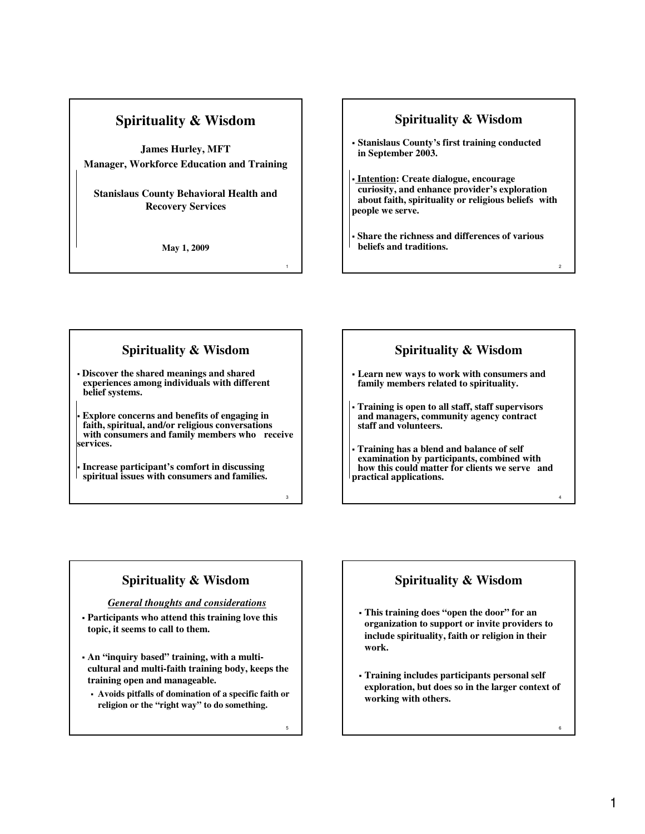**James Hurley, MFT Manager, Workforce Education and Training**

**Stanislaus County Behavioral Health and Recovery Services**

**May 1, 2009**

#### **Spirituality & Wisdom**

- **Stanislaus County's first training conducted in September 2003.**
- **Intention: Create dialogue, encourage curiosity, and enhance provider's exploration about faith, spirituality or religious beliefs with people we serve.**
- **Share the richness and differences of various beliefs and traditions.**

#### **Spirituality & Wisdom**

 **Discover the shared meanings and shared experiences among individuals with different belief systems.**

 **Explore concerns and benefits of engaging in faith, spiritual, and/or religious conversations with consumers and family members who receive services.**

 **Increase participant's comfort in discussing spiritual issues with consumers and families.**

### **Spirituality & Wisdom**

2

4

6

- **Learn new ways to work with consumers and family members related to spirituality.**
- **Training is open to all staff, staff supervisors and managers, community agency contract staff and volunteers.**

 **Training has a blend and balance of self examination by participants, combined with how this could matter for clients we serve and practical applications.**

## **Spirituality & Wisdom**

*General thoughts and considerations*

- **Participants who attend this training love this topic, it seems to call to them.**
- **An "inquiry based" training, with a multicultural and multi-faith training body, keeps the training open and manageable.**
	- **Avoids pitfalls of domination of a specific faith or religion or the "right way" to do something.**

5

3

1

## **Spirituality & Wisdom**

- **This training does "open the door" for an organization to support or invite providers to include spirituality, faith or religion in their work.**
- **Training includes participants personal self exploration, but does so in the larger context of working with others.**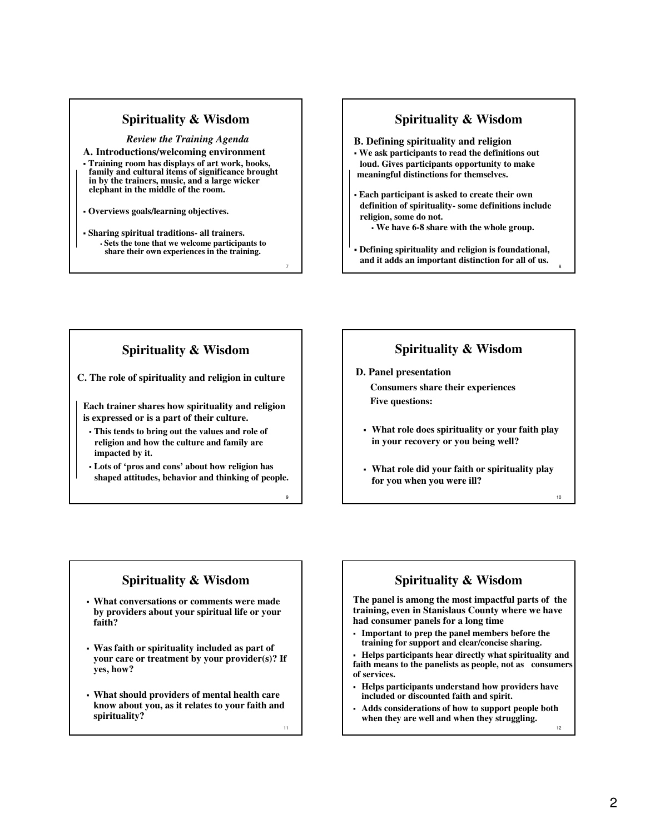*Review the Training Agenda* **A. Introductions/welcoming environment**

- **Training room has displays of art work, books, family and cultural items of significance brought**  in by the trainers, music, and a large wicker **elephant in the middle of the room.**
- **Overviews goals/learning objectives.**
- **Sharing spiritual traditions- all trainers. Sets the tone that we welcome participants to share their own experiences in the training.**

#### **Spirituality & Wisdom**

**B. Defining spirituality and religion**

- **We ask participants to read the definitions out loud. Gives participants opportunity to make meaningful distinctions for themselves.**
- **Each participant is asked to create their own definition of spirituality- some definitions include religion, some do not.**
	- **We have 6-8 share with the whole group.**
- **Defining spirituality and religion is foundational, and it adds an important distinction for all of us.**

8

10

12

### **Spirituality & Wisdom**

**C. The role of spirituality and religion in culture**

**Each trainer shares how spirituality and religion is expressed or is a part of their culture.** 

- **This tends to bring out the values and role of religion and how the culture and family are impacted by it.**
- **Lots of 'pros and cons' about how religion has shaped attitudes, behavior and thinking of people.**

### **Spirituality & Wisdom**

**D. Panel presentation Consumers share their experiences Five questions:**

- **What role does spirituality or your faith play in your recovery or you being well?**
- **What role did your faith or spirituality play for you when you were ill?**

## **Spirituality & Wisdom**

- **What conversations or comments were made by providers about your spiritual life or your faith?**
- **Was faith or spirituality included as part of your care or treatment by your provider(s)? If yes, how?**
- **What should providers of mental health care know about you, as it relates to your faith and spirituality?**

11

7

9

## **Spirituality & Wisdom**

**The panel is among the most impactful parts of the training, even in Stanislaus County where we have had consumer panels for a long time**

 **Important to prep the panel members before the training for support and clear/concise sharing.**

 **Helps participants hear directly what spirituality and faith means to the panelists as people, not as consumers of services.** 

- **Helps participants understand how providers have included or discounted faith and spirit.**
- **Adds considerations of how to support people both when they are well and when they struggling.**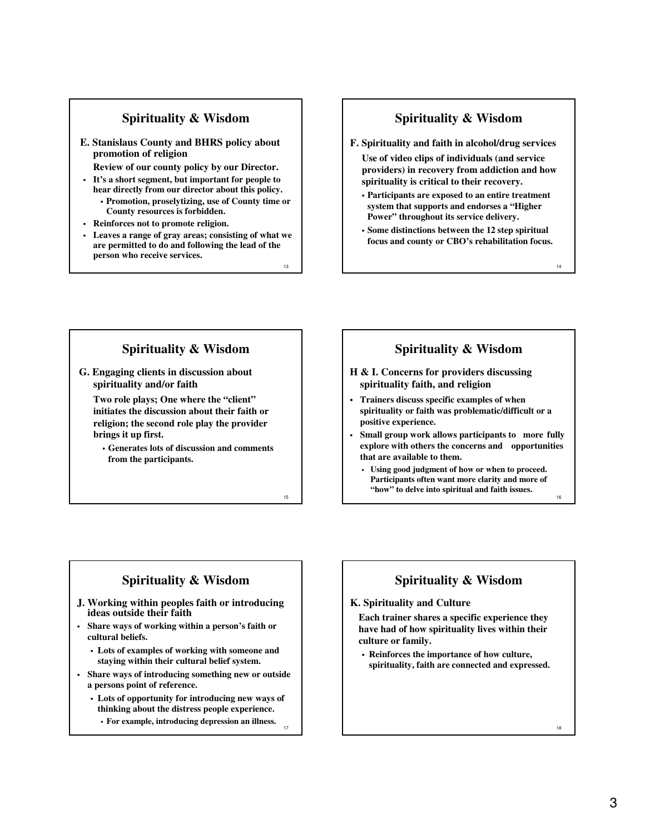**E. Stanislaus County and BHRS policy about promotion of religion**

**Review of our county policy by our Director.** 

- **It's a short segment, but important for people to hear directly from our director about this policy. Promotion, proselytizing, use of County time or County resources is forbidden.**
- **Reinforces not to promote religion.**
- **Leaves a range of gray areas; consisting of what we are permitted to do and following the lead of the person who receive services.**

#### **Spirituality & Wisdom**

**F. Spirituality and faith in alcohol/drug services**

**Use of video clips of individuals (and service providers) in recovery from addiction and how spirituality is critical to their recovery.**

- **Participants are exposed to an entire treatment system that supports and endorses a "Higher Power" throughout its service delivery.**
- **Some distinctions between the 12 step spiritual focus and county or CBO's rehabilitation focus.**

14

16

## **Spirituality & Wisdom**

**G. Engaging clients in discussion about spirituality and/or faith**

**Two role plays; One where the "client" initiates the discussion about their faith or religion; the second role play the provider brings it up first.**

 **Generates lots of discussion and comments from the participants.**

15

17

13

# **Spirituality & Wisdom**

- **H & I. Concerns for providers discussing spirituality faith, and religion**
- **Trainers discuss specific examples of when spirituality or faith was problematic/difficult or a positive experience.**
- **Small group work allows participants to more fully explore with others the concerns and opportunities that are available to them.**
	- **Using good judgment of how or when to proceed. Participants often want more clarity and more of "how" to delve into spiritual and faith issues.**

#### **Spirituality & Wisdom**

- **J. Working within peoples faith or introducing ideas outside their faith**
- **Share ways of working within a person's faith or cultural beliefs.**
	- **Lots of examples of working with someone and staying within their cultural belief system.**
- **Share ways of introducing something new or outside a persons point of reference.**
	- **Lots of opportunity for introducing new ways of thinking about the distress people experience. For example, introducing depression an illness.**

# **Spirituality & Wisdom**

#### **K. Spirituality and Culture**

**Each trainer shares a specific experience they have had of how spirituality lives within their culture or family.**

 **Reinforces the importance of how culture, spirituality, faith are connected and expressed.** 

18